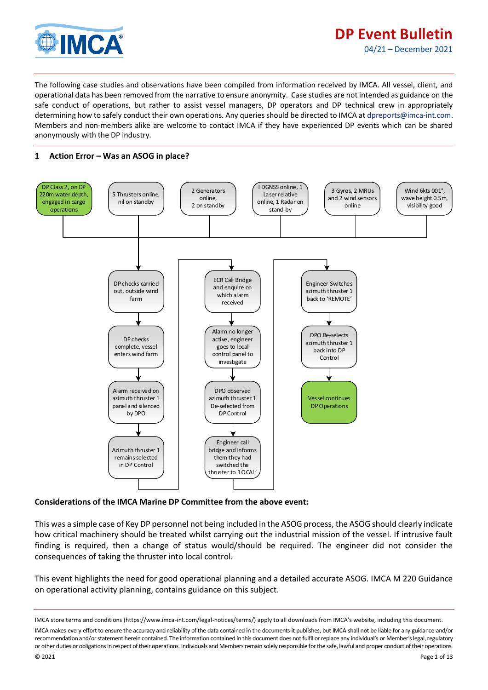

July

The following case studies and observations have been compiled from information received by IMCA. All vessel, client, and operational data has been removed from the narrative to ensure anonymity. Case studies are not intended as guidance on the safe conduct of operations, but rather to assist vessel managers, DP operators and DP technical crew in appropriately determining how to safely conduct their own operations. Any queries should be directed to IMCA at [dpreports@imca-int.com.](mailto:dpreports@imca-int.com)  Members and non-members alike are welcome to contact IMCA if they have experienced DP events which can be shared anonymously with the DP industry.

# **1 Action Error – Was an ASOG in place?**



### **Considerations of the IMCA Marine DP Committee from the above event:**

This was a simple case of Key DP personnel not being included in the ASOG process, the ASOG should clearly indicate how critical machinery should be treated whilst carrying out the industrial mission of the vessel. If intrusive fault finding is required, then a change of status would/should be required. The engineer did not consider the consequences of taking the thruster into local control.

This event highlights the need for good operational planning and a detailed accurate ASOG. IMCA M 220 Guidance on operational activity planning, contains guidance on this subject.

IMCA store terms and conditions (https://www.imca-int.com/legal-notices/terms/) apply to all downloads from IMCA's website, including this document. IMCA makes every effort to ensure the accuracy and reliability of the data contained in the documents it publishes, but IMCA shall not be liable for any guidance and/or recommendation and/or statement herein contained. The information contained in this document does not fulfil or replace any individual's or Member's legal, regulatory or other duties or obligations in respect of their operations. Individuals and Members remain solely responsible for the safe, lawful and proper conduct of their operations.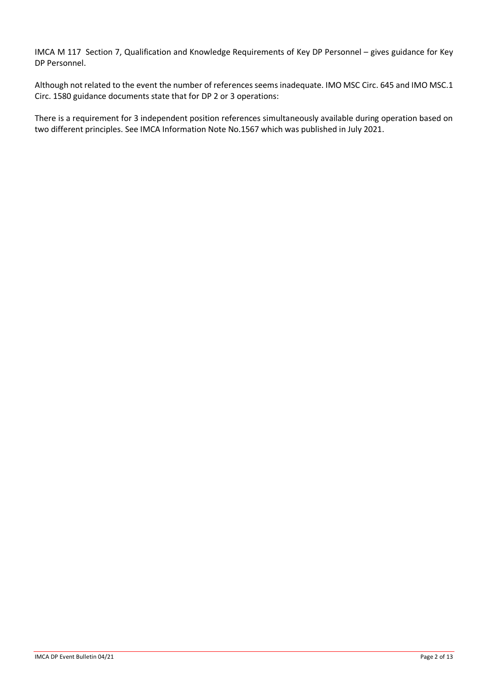IMCA M 117 Section 7, Qualification and Knowledge Requirements of Key DP Personnel – gives guidance for Key DP Personnel.

Although not related to the event the number of references seems inadequate. IMO MSC Circ. 645 and IMO MSC.1 Circ. 1580 guidance documents state that for DP 2 or 3 operations:

There is a requirement for 3 independent position references simultaneously available during operation based on two different principles. See IMCA Information Note No.1567 which was published in July 2021.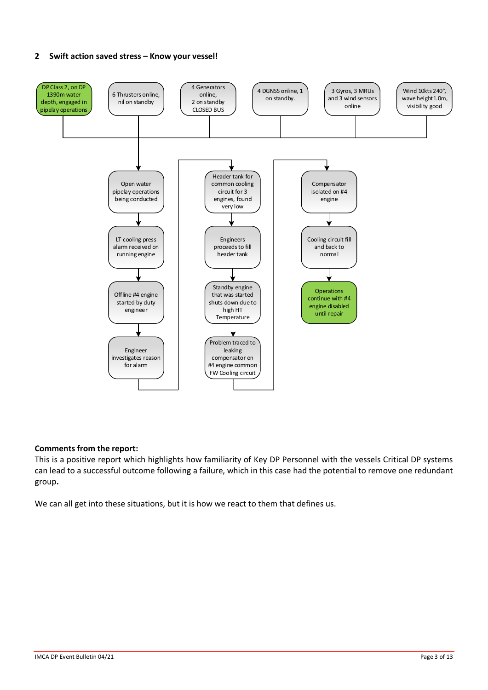## **2 Swift action saved stress – Know your vessel!**



### **Comments from the report:**

This is a positive report which highlights how familiarity of Key DP Personnel with the vessels Critical DP systems can lead to a successful outcome following a failure, which in this case had the potential to remove one redundant group**.**

We can all get into these situations, but it is how we react to them that defines us.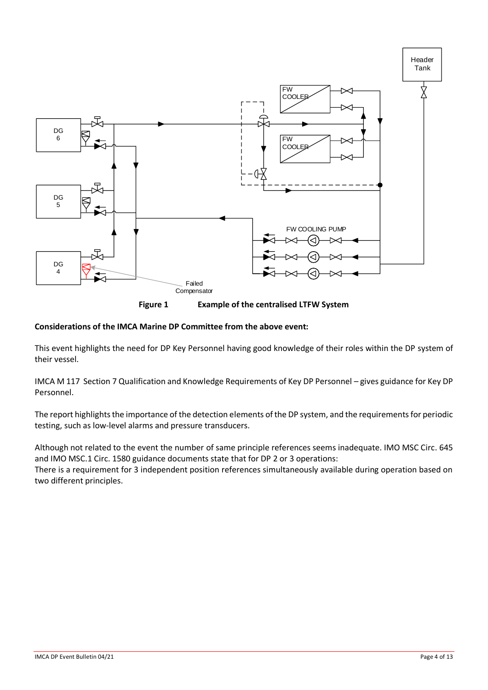

**Figure 1 Example of the centralised LTFW System**

# **Considerations of the IMCA Marine DP Committee from the above event:**

This event highlights the need for DP Key Personnel having good knowledge of their roles within the DP system of their vessel.

IMCA M 117 Section 7 Qualification and Knowledge Requirements of Key DP Personnel – gives guidance for Key DP Personnel.

The report highlights the importance of the detection elements of the DP system, and the requirements for periodic testing, such as low-level alarms and pressure transducers.

Although not related to the event the number of same principle references seems inadequate. IMO MSC Circ. 645 and IMO MSC.1 Circ. 1580 guidance documents state that for DP 2 or 3 operations: There is a requirement for 3 independent position references simultaneously available during operation based on two different principles.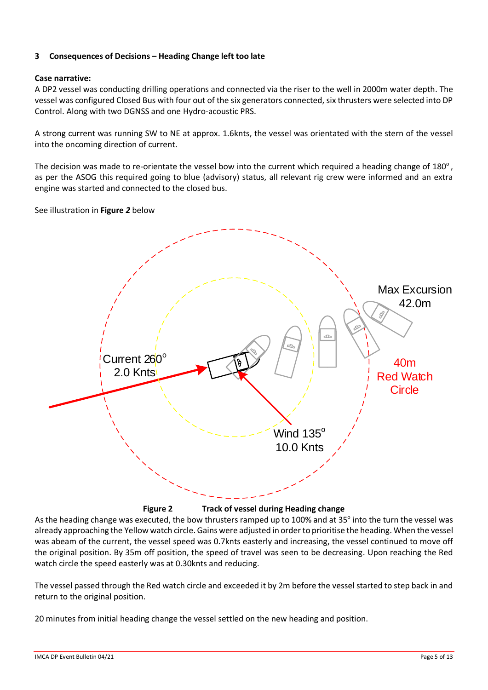# **3 Consequences of Decisions – Heading Change left too late**

## **Case narrative:**

A DP2 vessel was conducting drilling operations and connected via the riser to the well in 2000m water depth. The vessel was configured Closed Bus with four out of the six generators connected, six thrusters were selected into DP Control. Along with two DGNSS and one Hydro-acoustic PRS.

A strong current was running SW to NE at approx. 1.6knts, the vessel was orientated with the stern of the vessel into the oncoming direction of current.

The decision was made to re-orientate the vessel bow into the current which required a heading change of 180 $^{\circ}$ , as per the ASOG this required going to blue (advisory) status, all relevant rig crew were informed and an extra engine was started and connected to the closed bus.

See illustration in **[Figure](#page-4-0)** *2* below



**Figure 2 Track of vessel during Heading change**

<span id="page-4-0"></span>As the heading change was executed, the bow thrusters ramped up to 100% and at 35° into the turn the vessel was already approaching the Yellow watch circle. Gains were adjusted in order to prioritise the heading. When the vessel was abeam of the current, the vessel speed was 0.7knts easterly and increasing, the vessel continued to move off the original position. By 35m off position, the speed of travel was seen to be decreasing. Upon reaching the Red watch circle the speed easterly was at 0.30knts and reducing.

The vessel passed through the Red watch circle and exceeded it by 2m before the vessel started to step back in and return to the original position.

20 minutes from initial heading change the vessel settled on the new heading and position.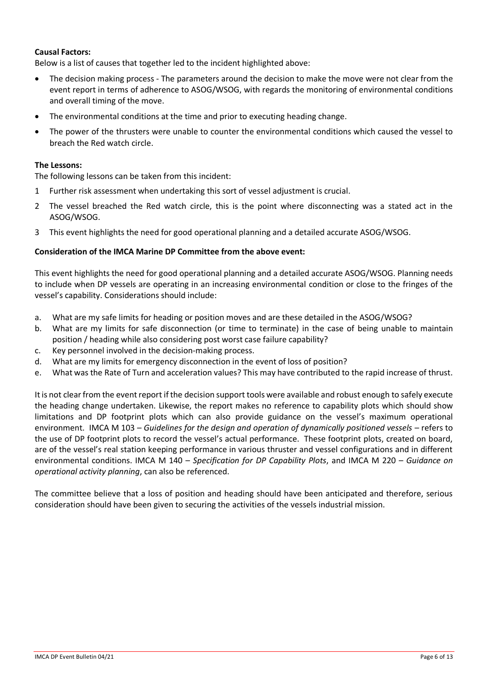## **Causal Factors:**

Below is a list of causes that together led to the incident highlighted above:

- The decision making process The parameters around the decision to make the move were not clear from the event report in terms of adherence to ASOG/WSOG, with regards the monitoring of environmental conditions and overall timing of the move.
- The environmental conditions at the time and prior to executing heading change.
- The power of the thrusters were unable to counter the environmental conditions which caused the vessel to breach the Red watch circle.

### **The Lessons:**

The following lessons can be taken from this incident:

- 1 Further risk assessment when undertaking this sort of vessel adjustment is crucial.
- 2 The vessel breached the Red watch circle, this is the point where disconnecting was a stated act in the ASOG/WSOG.
- 3 This event highlights the need for good operational planning and a detailed accurate ASOG/WSOG.

### **Consideration of the IMCA Marine DP Committee from the above event:**

This event highlights the need for good operational planning and a detailed accurate ASOG/WSOG. Planning needs to include when DP vessels are operating in an increasing environmental condition or close to the fringes of the vessel's capability. Considerations should include:

- a. What are my safe limits for heading or position moves and are these detailed in the ASOG/WSOG?
- b. What are my limits for safe disconnection (or time to terminate) in the case of being unable to maintain position / heading while also considering post worst case failure capability?
- c. Key personnel involved in the decision-making process.
- d. What are my limits for emergency disconnection in the event of loss of position?
- e. What was the Rate of Turn and acceleration values? This may have contributed to the rapid increase of thrust.

It is not clear from the event report if the decision support tools were available and robust enough to safely execute the heading change undertaken. Likewise, the report makes no reference to capability plots which should show limitations and DP footprint plots which can also provide guidance on the vessel's maximum operational environment. [IMCA M 103](http://www.imca-int.com/media/73055/imcam103.pdf) – *Guidelines for the design and operation of dynamically positioned vessels* – refers to the use of DP footprint plots to record the vessel's actual performance. These footprint plots, created on board, are of the vessel's real station keeping performance in various thruster and vessel configurations and in different environmental conditions. IMCA M 140 – *Specification for DP Capability Plots*, and IMCA M 220 – *Guidance on operational activity planning*, can also be referenced.

The committee believe that a loss of position and heading should have been anticipated and therefore, serious consideration should have been given to securing the activities of the vessels industrial mission.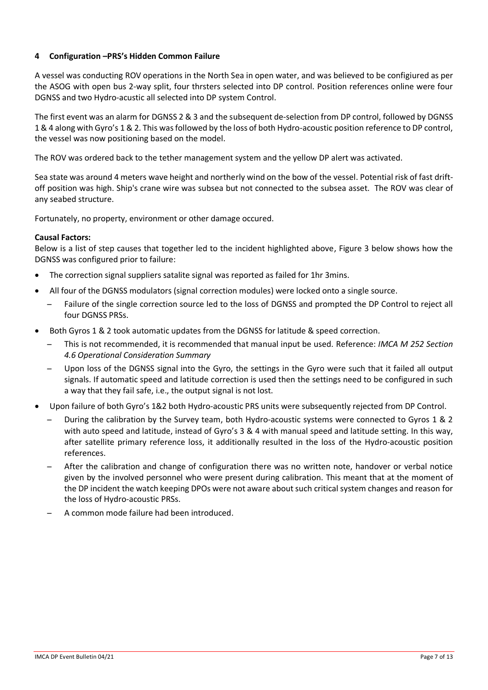# **4 Configuration –PRS's Hidden Common Failure**

A vessel was conducting ROV operations in the North Sea in open water, and was believed to be configiured as per the ASOG with open bus 2-way split, four thrsters selected into DP control. Position references online were four DGNSS and two Hydro-acustic all selected into DP system Control.

The first event was an alarm for DGNSS 2 & 3 and the subsequent de-selection from DP control, followed by DGNSS 1 & 4 along with Gyro's 1 & 2. This was followed by the loss of both Hydro-acoustic position reference to DP control, the vessel was now positioning based on the model.

The ROV was ordered back to the tether management system and the yellow DP alert was activated.

Sea state was around 4 meters wave height and northerly wind on the bow of the vessel. Potential risk of fast driftoff position was high. Ship's crane wire was subsea but not connected to the subsea asset. The ROV was clear of any seabed structure.

Fortunately, no property, environment or other damage occured.

### **Causal Factors:**

Below is a list of step causes that together led to the incident highlighted above, [Figure 3](#page-7-0) below shows how the DGNSS was configured prior to failure:

- The correction signal suppliers satalite signal was reported as failed for 1hr 3mins.
- All four of the DGNSS modulators (signal correction modules) were locked onto a single source.
	- ̶ Failure of the single correction source led to the loss of DGNSS and prompted the DP Control to reject all four DGNSS PRSs.
- Both Gyros 1 & 2 took automatic updates from the DGNSS for latitude & speed correction.
	- ̶ This is not recommended, it is recommended that manual input be used. Reference: *IMCA M 252 Section 4.6 Operational Consideration Summary*
	- ̶ Upon loss of the DGNSS signal into the Gyro, the settings in the Gyro were such that it failed all output signals. If automatic speed and latitude correction is used then the settings need to be configured in such a way that they fail safe, i.e., the output signal is not lost.
- Upon failure of both Gyro's 1&2 both Hydro-acoustic PRS units were subsequently rejected from DP Control.
	- ̶ During the calibration by the Survey team, both Hydro-acoustic systems were connected to Gyros 1 & 2 with auto speed and latitude, instead of Gyro's 3 & 4 with manual speed and latitude setting. In this way, after satellite primary reference loss, it additionally resulted in the loss of the Hydro-acoustic position references.
	- ̶ After the calibration and change of configuration there was no written note, handover or verbal notice given by the involved personnel who were present during calibration. This meant that at the moment of the DP incident the watch keeping DPOs were not aware about such critical system changes and reason for the loss of Hydro-acoustic PRSs.
	- ̶ A common mode failure had been introduced.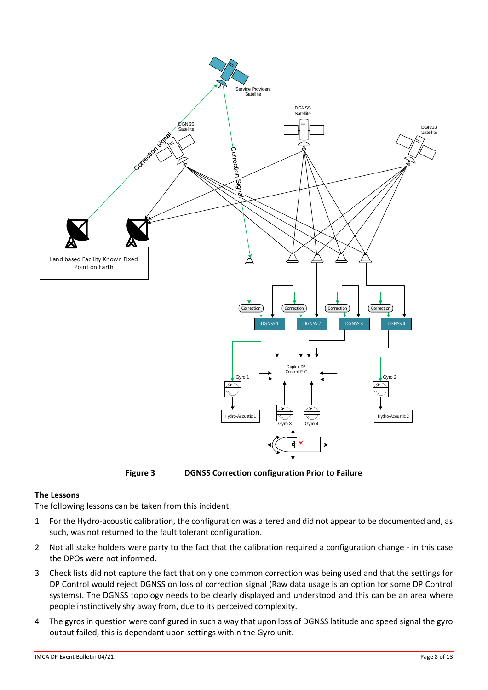

**Figure 3 DGNSS Correction configuration Prior to Failure**

# <span id="page-7-0"></span>**The Lessons**

The following lessons can be taken from this incident:

- 1 For the Hydro-acoustic calibration, the configuration was altered and did not appear to be documented and, as such, was not returned to the fault tolerant configuration.
- 2 Not all stake holders were party to the fact that the calibration required a configuration change in this case the DPOs were not informed.
- 3 Check lists did not capture the fact that only one common correction was being used and that the settings for DP Control would reject DGNSS on loss of correction signal (Raw data usage is an option for some DP Control systems). The DGNSS topology needs to be clearly displayed and understood and this can be an area where people instinctively shy away from, due to its perceived complexity.
- 4 The gyros in question were configured in such a way that upon loss of DGNSS latitude and speed signal the gyro output failed, this is dependant upon settings within the Gyro unit.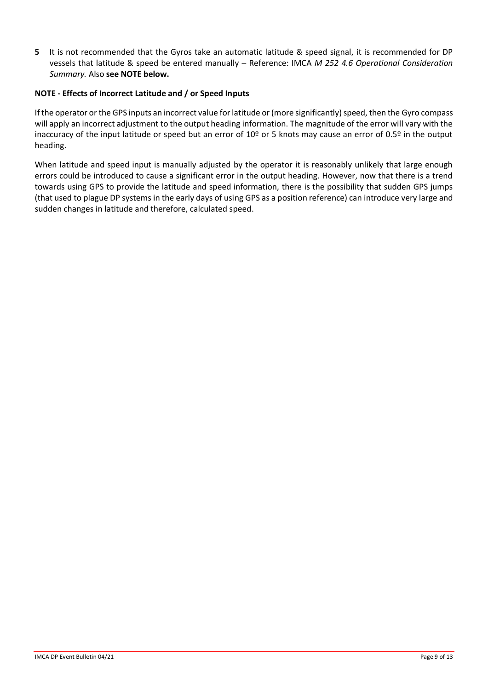**5** It is not recommended that the Gyros take an automatic latitude & speed signal, it is recommended for DP vessels that latitude & speed be entered manually – Reference: IMCA *M 252 4.6 Operational Consideration Summary.* Also **see NOTE below.**

## **NOTE - Effects of Incorrect Latitude and / or Speed Inputs**

If the operator or the GPS inputs an incorrect value for latitude or (more significantly) speed, then the Gyro compass will apply an incorrect adjustment to the output heading information. The magnitude of the error will vary with the inaccuracy of the input latitude or speed but an error of 10<sup>o</sup> or 5 knots may cause an error of 0.5<sup>o</sup> in the output heading.

When latitude and speed input is manually adjusted by the operator it is reasonably unlikely that large enough errors could be introduced to cause a significant error in the output heading. However, now that there is a trend towards using GPS to provide the latitude and speed information, there is the possibility that sudden GPS jumps (that used to plague DP systems in the early days of using GPS as a position reference) can introduce very large and sudden changes in latitude and therefore, calculated speed.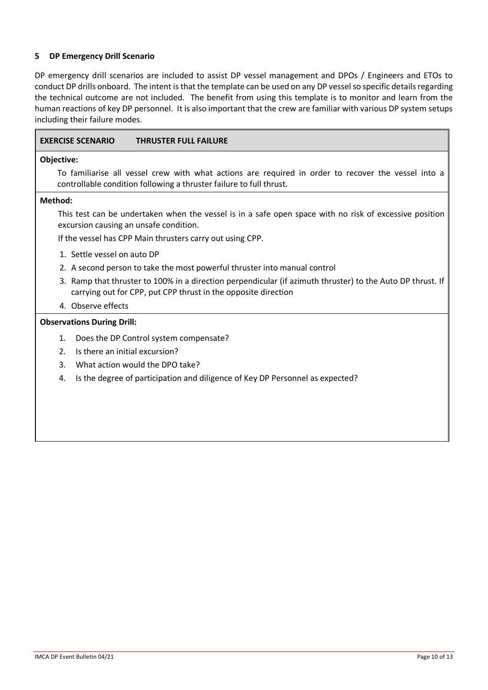## **5 DP Emergency Drill Scenario**

 $\mathbf{r}$ 

DP emergency drill scenarios are included to assist DP vessel management and DPOs / Engineers and ETOs to conduct DP drills onboard. The intent is that the template can be used on any DP vessel so specific details regarding the technical outcome are not included. The benefit from using this template is to monitor and learn from the human reactions of key DP personnel. It is also important that the crew are familiar with various DP system setups including their failure modes.

| <b>EXERCISE SCENARIO</b><br><b>THRUSTER FULL FAILURE</b>                                                                                                                     |
|------------------------------------------------------------------------------------------------------------------------------------------------------------------------------|
| Objective:                                                                                                                                                                   |
| To familiarise all vessel crew with what actions are required in order to recover the vessel into a<br>controllable condition following a thruster failure to full thrust.   |
| Method:                                                                                                                                                                      |
| This test can be undertaken when the vessel is in a safe open space with no risk of excessive position<br>excursion causing an unsafe condition.                             |
| If the vessel has CPP Main thrusters carry out using CPP.                                                                                                                    |
| 1. Settle vessel on auto DP                                                                                                                                                  |
| 2. A second person to take the most powerful thruster into manual control                                                                                                    |
| 3. Ramp that thruster to 100% in a direction perpendicular (if azimuth thruster) to the Auto DP thrust. If<br>carrying out for CPP, put CPP thrust in the opposite direction |
| 4. Observe effects                                                                                                                                                           |
| <b>Observations During Drill:</b>                                                                                                                                            |
| Does the DP Control system compensate?<br>1.                                                                                                                                 |
| Is there an initial excursion?<br>2.                                                                                                                                         |
| 3.<br>What action would the DPO take?                                                                                                                                        |
| Is the degree of participation and diligence of Key DP Personnel as expected?<br>4.                                                                                          |
|                                                                                                                                                                              |
|                                                                                                                                                                              |
|                                                                                                                                                                              |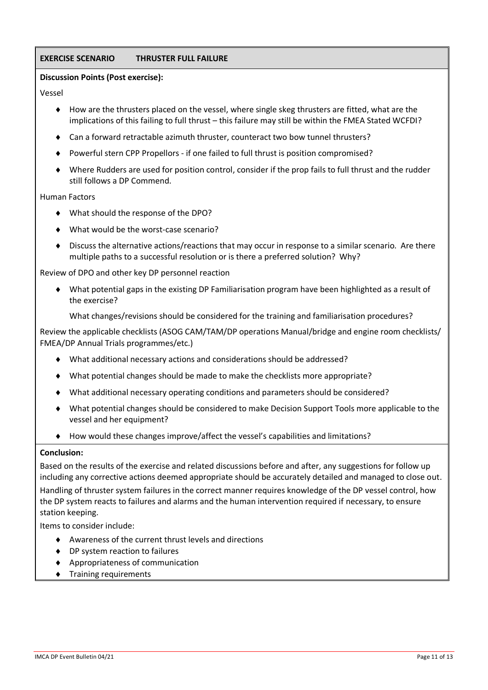# **EXERCISE SCENARIO THRUSTER FULL FAILURE**

### **Discussion Points (Post exercise):**

Vessel

- $\blacklozenge$  How are the thrusters placed on the vessel, where single skeg thrusters are fitted, what are the implications of this failing to full thrust – this failure may still be within the FMEA Stated WCFDI?
- Can a forward retractable azimuth thruster, counteract two bow tunnel thrusters?
- ◆ Powerful stern CPP Propellors if one failed to full thrust is position compromised?
- Where Rudders are used for position control, consider if the prop fails to full thrust and the rudder still follows a DP Commend.

#### Human Factors

- What should the response of the DPO?
- What would be the worst-case scenario?
- Discuss the alternative actions/reactions that may occur in response to a similar scenario. Are there multiple paths to a successful resolution or is there a preferred solution? Why?

Review of DPO and other key DP personnel reaction

 What potential gaps in the existing DP Familiarisation program have been highlighted as a result of the exercise?

What changes/revisions should be considered for the training and familiarisation procedures?

Review the applicable checklists (ASOG CAM/TAM/DP operations Manual/bridge and engine room checklists/ FMEA/DP Annual Trials programmes/etc.)

- What additional necessary actions and considerations should be addressed?
- What potential changes should be made to make the checklists more appropriate?
- What additional necessary operating conditions and parameters should be considered?
- What potential changes should be considered to make Decision Support Tools more applicable to the vessel and her equipment?
- How would these changes improve/affect the vessel's capabilities and limitations?

#### **Conclusion:**

Based on the results of the exercise and related discussions before and after, any suggestions for follow up including any corrective actions deemed appropriate should be accurately detailed and managed to close out.

Handling of thruster system failures in the correct manner requires knowledge of the DP vessel control, how the DP system reacts to failures and alarms and the human intervention required if necessary, to ensure station keeping.

Items to consider include:

- Awareness of the current thrust levels and directions
- ◆ DP system reaction to failures
- Appropriateness of communication
- **Training requirements**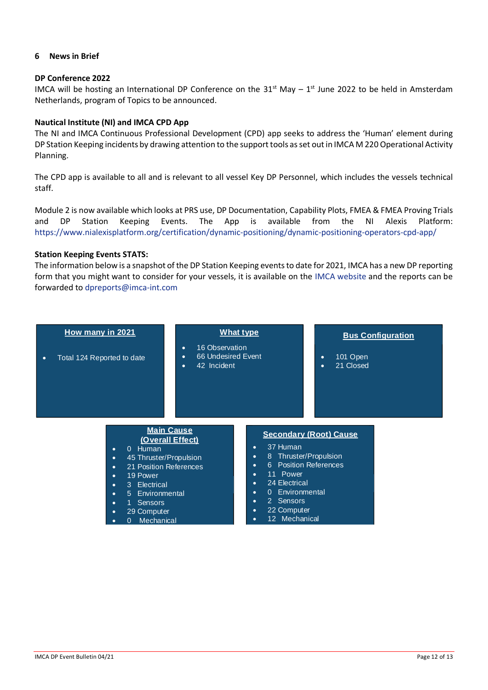### **6 News in Brief**

#### **DP Conference 2022**

IMCA will be hosting an International DP Conference on the  $31<sup>st</sup>$  May  $-1<sup>st</sup>$  June 2022 to be held in Amsterdam Netherlands, program of Topics to be announced.

### **Nautical Institute (NI) and IMCA CPD App**

The NI and IMCA Continuous Professional Development (CPD) app seeks to address the 'Human' element during DP Station Keeping incidents by drawing attention to the support tools as set out in IMCA M 220 Operational Activity Planning.

The CPD app is available to all and is relevant to all vessel Key DP Personnel, which includes the vessels technical staff.

Module 2 is now available which looks at PRS use, DP Documentation, Capability Plots, FMEA & FMEA Proving Trials and DP Station Keeping Events. The App is available from the NI [Alexis Platform:](https://intlmca.sharepoint.com/teams/DP/Shared%20Documents/General/Event%20Bulletins/2021/04-21/Alexis%20Platform:%20https:/www.nialexisplatform.org/certification/dynamic-positioning/dynamic-positioning-operators-cpd-app/)  [https://www.nialexisplatform.org/certification/dynamic-positioning/dynamic-positioning-operators-cpd-app/](https://intlmca.sharepoint.com/teams/DP/Shared%20Documents/General/Event%20Bulletins/2021/04-21/Alexis%20Platform:%20https:/www.nialexisplatform.org/certification/dynamic-positioning/dynamic-positioning-operators-cpd-app/)

#### **Station Keeping Events STATS:**

The information below is a snapshot of the DP Station Keeping events to date for 2021, IMCA has a new DP reporting form that you might want to consider for your vessels, it is available on the [IMCA website](mailto:IMCA%20website) and the reports can be forwarded to [dpreports@imca-int.com](mailto:dpreports@imca-int.com)